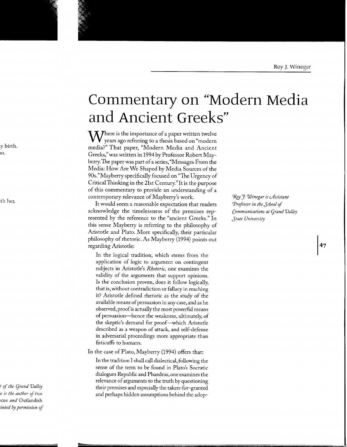## **Commentary on "Modern Media and Ancient Greel<s"**

 $\bf W$ here is the importance of a paper written twelve years ago referring to a thesis based on "modern media?" That paper, "Modern Media and Ancient Greeks," was written in 1994 by Professor Robert Mayberry. The paper was part of a series, "Messages From the Media: How Are We Shaped by Media Sources of the 90s."Mayberry specifically focused on "The Urgency of Critical Thinking in the 21st Century."It is the purpose of this commentary to provide an understanding of a contemporary relevance of Mayberry's work.

It would seem a reasonable expectation that readers acknowledge the timelessness of the premises represented by the reference to the "ancient Greeks." In this sense Mayberry is referring to the philosophy of Aristotle and Plato. More specifically, their particular philosophy of rhetoric. As Mayberry (1994) points out regarding Aristotle:

In the logical tradition, which stems from the application of logic to argument on contingent subjects in Aristotle's *Rhetoric,* one examines the validity of the arguments that support opinions. Is the conclusion proven, does it follow logically, that is, without contradiction or fallacy in reaching it? Aristotle defined rhetoric as the study of the available means of persuasion in any case, and as he observed, proof is actually the most powerful means of persuasion-hence the weakness, ultimately, of the skeptic's demand for proof-which Aristotle described as a weapon of attack, and self-defense in adversarial proceedings more appropriate than fisticuffs to humans.

In the case of Plato, Mayberry (1994) offers that:

In the tradition I shall call dialectical, following the sense of the term to be found in Plato's Socratic dialogues Republic and Phaedrus, one examines the relevance of arguments to the truth by questioning their premises and especially the taken-for-granted and perhaps hidden assumptions behind the adop<sup>~</sup>'J *Winegar is cAssistant Professor in the Jchool* of *Communications at Cjrand Valley Jtate University* 

47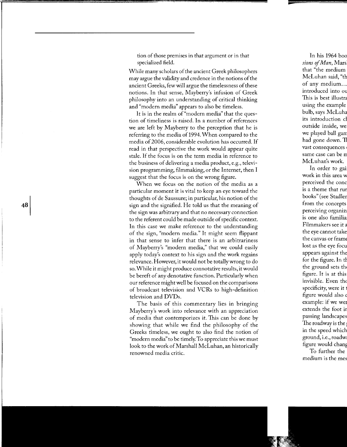tion of those premises in that argument or in that specialized field.

While many scholars of the ancient Greek philosophers may argue the validity and credence in the notions of the ancient Greeks, few will argue the timelessness of these notions. In that sense, Mayberry's infusion of Greek philosophy into an understanding of critical thinking and "modern media" appears to also be timeless.

It is in the realm of"modern media" that the question of timeliness is raised. In a number of references we are left by Mayberry to the perception that he is referring to the media of 1994. When compared to the media of 2006, considerable evolution has occurred. If read in that perspective the work would appear quite stale. If the focus is on the term media in reference to the business of delivering a media product, e.g., television programming, filmmaking, or the Internet, then I suggest that the focus is on the wrong figure.

When we focus on the notion of the media as a particular moment it is vital to keep an eye toward the thoughts of de Saussure; in particular, his notion of the sign and the signified. He told us that the meaning of the sign was arbitrary and that no necessary connection to the referent could be made outside of specific context. In this case we make reference to the understanding of the sign, "modern media." It might seem flippant in that sense to infer that there is an arbitrariness of Mayberry's "modern media," that we could easily apply today's context to his sign and the work regains relevance. However, it would not be totally wrong to do so. While it might produce connotative results, it would be bereft of any denotative function. Particularly when our reference might well be focused on the comparisons of broadcast television and VCRs to high-definition television and DVDs.

The basis of this commentary lies in bringing Mayberry's work into relevance with an appreciation of media that contemporizes it. This can be done by showing that while we find the philosophy of the Greeks timeless, we ought to also find the notion of "modern media'' to be timely. To appreciate this we must look to the work of Marshall McLuhan, an historically renowned media critic.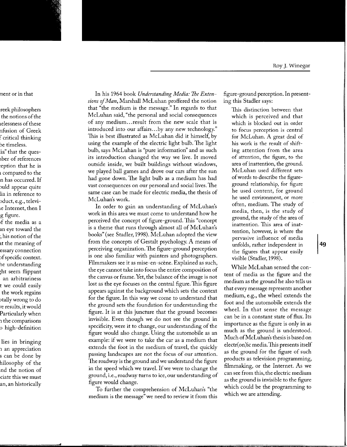In his 1964 book *Understanding Media: The Exten*sions of *Man*, Marshall McLuhan proffered the notion that "the medium is the message." In regards to that McLuhan said, "the personal and social consequences of any medium ... result from the new scale that is introduced into our affairs ... by any new technology." This is best illustrated as McLuhan did it himself, by using the example of the electric light bulb. The light bulb, says McLuhan is "pure information'' and as such its introduction changed the way we live. It moved outside inside, we built buildings without windows, we played ball games and drove our cars after the sun had gone down. The light bulb as a medium has had vast consequences on our personal and social lives. The same case can be made for electric media, the thesis of McLuhan's work.

In order to gain an understanding of McLuhan's work in this area we must come to understand how he perceived the concept of figure-ground. This "concept is a theme that runs through almost all of McLuhan's books" (see Stadler, 1998). McLuhan adopted the view from the concepts of Gestalt psychology. A means of perceiving organization. The figure-ground perception is one also familiar with painters and photographers. Filmmakers see it as mise-en-scène. Explained as such, the eye cannot take into focus the entire composition of the canvas or frame. Yet, the balance of the image is not lost as the eye focuses on the central figure. This figure appears against the background which sets the context for the figure. In this way we come to understand that the ground sets the foundation for understanding the figure. It is at this juncture that the ground becomes invisible. Even though we do not see the ground in specificity, were it to change, our understanding of the figure would also change. Using the automobile as an example: if we were to take the car as a medium that extends the foot in the medium of travel, the quickly passing landscapes are not the focus of our attention. The roadway is the ground and we understand the figure in the speed which we travel. If we were to change the ground, i.e., roadway turns to ice, our understanding of figure would change.

To further the comprehension of McLuhan's "the medium is the message" we need to review it from this

figure-ground perception. In presenting this Stadler says:

This distinction between that which is perceived and that which is blocked out in order to focus perception is central for McLuhan. A great deal of his work is the result of shifting attention from the area of attention, the figure, to the area of inattention, the ground. McLuhan used different sets of words to describe the figureground relationship, for figure he used content, for ground he used environment, or more often, medium. The study of media, then, is the study of ground, the study of the area of inattention. This area of inattention, however, is where the pervasive influence of media unfolds, rather independent in the figures that appear easily visible (Stadler, 1998).

While McLuhan sensed the content of media as the figure and the medium as the ground he also tells us that every message represents another medium, e.g., the wheel extends the foot and the automobile extends the wheel. In that sense the message can be in a constant state of flux. Its importance as the figure is only in as much as the ground is understood. Much ofMcLuhan's thesis is based on electr( on)ic media. This presents itself as the ground for the figure of such products as television programming, filmmaking, or the Internet. As we can see from this, the electric medium as the ground is invisible to the figure which could be the programming to which we are attending.